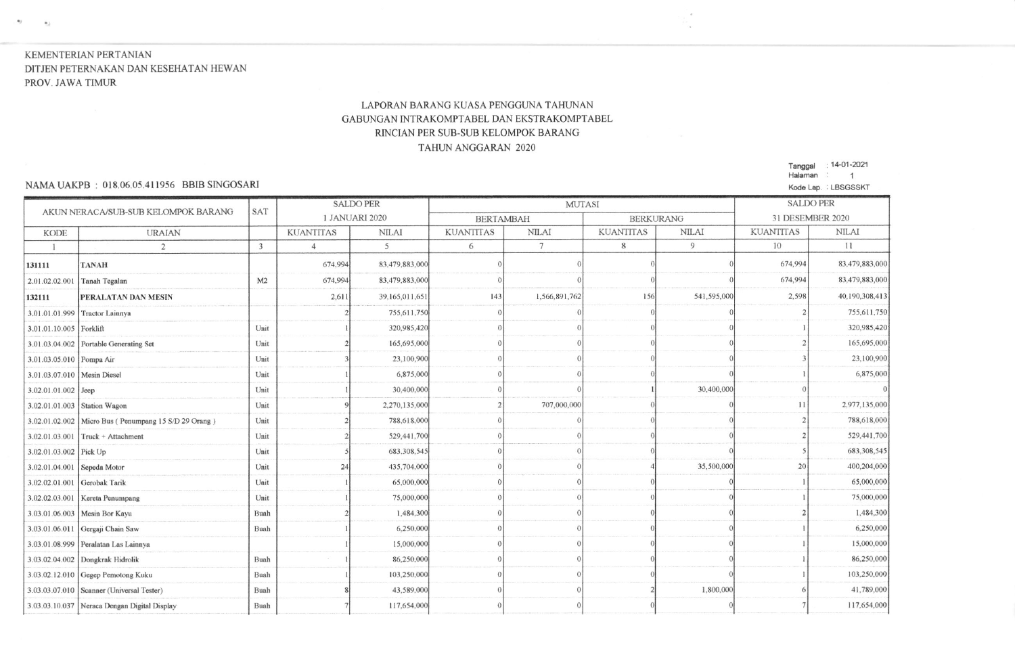# KEMENTERIAN PERTANIAN DITJEN PETERNAKAN DAN KESEHATAN HEWAN PROV. JAWA TIMUR

 $\mathbf{v} = -\mathbf{v}_2$ 

## LAPORAN BARANG KUASA PENGGUNA TAHUNAN GABUNGAN INTRAKOMPTABEL DAN EKSTRAKOMPTABEL RINCIAN PER SUB-SUB KELOMPOK BARANG **TAHUN ANGGARAN 2020**

#### NAMA UAKPB: 018.06.05.411956 BBIB SINGOSARI

Tanggal : 14-01-2021 Halaman : 1 Kode Lap. : LBSGSSKT

 $\sim$ 

| AKUN NERACA/SUB-SUB KELOMPOK BARANG |                                                      |            |                  | <b>SALDO PER</b> | <b>MUTASI</b>    |               |                  |              | <b>SALDO PER</b> |                |
|-------------------------------------|------------------------------------------------------|------------|------------------|------------------|------------------|---------------|------------------|--------------|------------------|----------------|
|                                     |                                                      | <b>SAT</b> | 1 JANUARI 2020   |                  | <b>BERTAMBAH</b> |               | <b>BERKURANG</b> |              | 31 DESEMBER 2020 |                |
| <b>KODE</b>                         | <b>URAIAN</b>                                        |            | <b>KUANTITAS</b> | <b>NILAI</b>     | <b>KUANTITAS</b> | <b>NILAI</b>  | <b>KUANTITAS</b> | <b>NILAI</b> | <b>KUANTITAS</b> | <b>NILAI</b>   |
|                                     | $\overline{2}$                                       | 3          | $\overline{4}$   | 5                | 6                | $\tau$        | 8                | 9            | 10               | 11             |
| 131111                              | <b>TANAH</b>                                         |            | 674,994          | 83,479,883,000   |                  |               |                  |              | 674,994          | 83,479,883,000 |
| 2.01.02.02.001                      | Tanah Tegalan                                        | M2         | 674,994          | 83,479,883,000   |                  |               |                  |              | 674,994          | 83,479,883,000 |
| 132111                              | PERALATAN DAN MESIN                                  |            | 2.611            | 39,165,011,651   | 143              | 1,566,891,762 | 156              | 541,595,000  | 2,598            | 40,190,308,413 |
| 3.01.01.01.999                      | Tractor Lainnya                                      |            |                  | 755,611,750      |                  |               |                  |              |                  | 755,611,750    |
| 3.01.01.10.005 Forklift             |                                                      | Unit       |                  | 320,985,420      |                  |               |                  |              |                  | 320,985,420    |
|                                     | 3.01.03.04.002 Portable Generating Set               | Unit       |                  | 165,695,000      |                  |               |                  |              |                  | 165,695,000    |
| 3.01.03.05.010 Pompa Air            |                                                      | Unit       |                  | 23,100,900       |                  |               |                  |              |                  | 23,100,900     |
| 3.01.03.07.010   Mesin Diesel       |                                                      | Unit       |                  | 6,875,000        |                  |               |                  |              |                  | 6,875,000      |
| 3.02.01.01.002 Jeep                 |                                                      | Unit       |                  | 30,400,000       |                  |               |                  | 30,400,000   |                  |                |
| 3.02.01.01.003 Station Wagon        |                                                      | Unit       |                  | 2,270,135,000    |                  | 707,000,000   |                  |              | 11               | 2,977,135,000  |
|                                     | 3.02.01.02.002 Micro Bus (Penumpang 15 S/D 29 Orang) | Unit       |                  | 788,618,000      |                  |               |                  |              |                  | 788,618,000    |
| 3.02.01.03.001                      | Truck + Attachment                                   | Unit       |                  | 529,441.700      |                  |               |                  |              |                  | 529,441,700    |
| 3.02.01.03.002 Pick Up              |                                                      | Unit       |                  | 683,308,545      |                  |               |                  |              |                  | 683,308,545    |
| 3.02.01.04.001 Sepeda Motor         |                                                      | Unit       | 24               | 435,704,000      |                  |               |                  | 35,500,000   | 20               | 400,204,000    |
| 3.02.02.01.001 Gerobak Tarik        |                                                      | Unit       |                  | 65,000,000       |                  |               |                  |              |                  | 65,000,000     |
| 3.02.02.03.001                      | Kereta Penumpang                                     | Unit       |                  | 75,000,000       |                  |               |                  |              |                  | 75,000,000     |
|                                     | 3.03.01.06.003 Mesin Bor Kayu                        | Buah       |                  | 1,484,300        |                  |               |                  |              |                  | 1,484,300      |
|                                     | 3.03.01.06.011 Gergaji Chain Saw                     | Buah       |                  | 6,250,000        |                  |               |                  |              |                  | 6.250,000      |
|                                     | 3.03.01.08.999 Peralatan Las Lainnya                 |            |                  | 15,000,000       |                  |               |                  |              |                  | 15,000,000     |
|                                     | 3.03.02.04.002 Dongkrak Hidrolik                     | Buah       |                  | 86,250,000       |                  |               |                  |              |                  | 86,250,000     |
|                                     | 3.03.02.12.010 Gegep Pemotong Kuku                   | Buah       |                  | 103,250,000      |                  |               |                  |              |                  | 103,250,000    |
|                                     | 3.03.03.07.010 Scanner (Universal Tester)            | Buah       |                  | 43,589,000       |                  |               |                  | 1,800,000    |                  | 41,789,000     |
|                                     | 3.03.03.10.037 Neraca Dengan Digital Display         | Buah       |                  | 117,654,000      |                  |               |                  |              |                  | 117,654,000    |